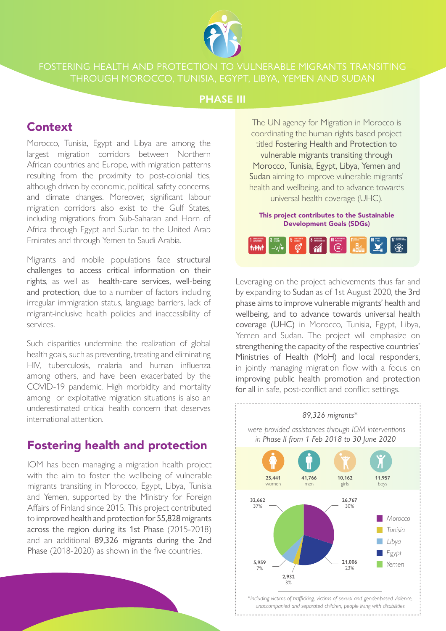

THROUGH MOROCCO, TUNISIA, EGYPT, LIBYA, YEMEN AND SUDAN

## **PHASE III**

## Context

Morocco, Tunisia, Egypt and Libya are among the largest migration corridors between Northern African countries and Europe, with migration patterns resulting from the proximity to post-colonial ties, although driven by economic, political, safety concerns, and climate changes. Moreover, significant labour migration corridors also exist to the Gulf States, including migrations from Sub-Saharan and Horn of Africa through Egypt and Sudan to the United Arab Emirates and through Yemen to Saudi Arabia.

Migrants and mobile populations face structural challenges to access critical information on their rights, as well as health-care services, well-being and protection, due to a number of factors including irregular immigration status, language barriers, lack of migrant-inclusive health policies and inaccessibility of services.

Such disparities undermine the realization of global health goals, such as preventing, treating and eliminating HIV, tuberculosis, malaria and human influenza among others, and have been exacerbated by the COVID-19 pandemic. High morbidity and mortality among or exploitative migration situations is also an underestimated critical health concern that deserves international attention.

## Fostering health and protection

IOM has been managing a migration health project with the aim to foster the wellbeing of vulnerable migrants transiting in Morocco, Egypt, Libya, Tunisia and Yemen, supported by the Ministry for Foreign Affairs of Finland since 2015. This project contributed to improved health and protection for 55,828 migrants across the region during its 1st Phase (2015-2018) and an additional 89,326 migrants during the 2nd Phase (2018-2020) as shown in the five countries.

The UN agency for Migration in Morocco is coordinating the human rights based project titled Fostering Health and Protection to vulnerable migrants transiting through Morocco, Tunisia, Egypt, Libya, Yemen and Sudan aiming to improve vulnerable migrants' health and wellbeing, and to advance towards universal health coverage (UHC).

This project contributes to the Sustainable Development Goals (SDGs)



Leveraging on the project achievements thus far and by expanding to Sudan as of 1st August 2020, the 3rd phase aims to improve vulnerable migrants' health and wellbeing, and to advance towards universal health coverage (UHC) in Morocco, Tunisia, Egypt, Libya, Yemen and Sudan. The project will emphasize on strengthening the capacity of the respective countries' Ministries of Health (MoH) and local responders, in jointly managing migration flow with a focus on improving public health promotion and protection for all in safe, post-conflict and conflict settings.



*\*Including victims of trafficking, victims of sexual and gender-based violence, unaccompanied and separated children, people living with disabilities*